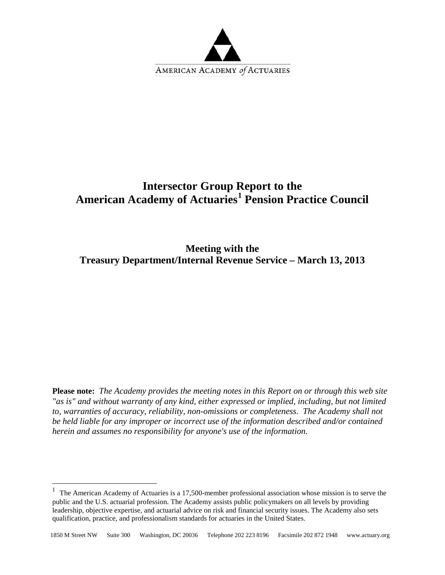

## **Intersector Group Report to the American Academy of Actuaries[1](#page-0-0) Pension Practice Council**

**Meeting with the Treasury Department/Internal Revenue Service – March 13, 2013**

**Please note:** *The Academy provides the meeting notes in this Report on or through this web site "as is" and without warranty of any kind, either expressed or implied, including, but not limited to, warranties of accuracy, reliability, non-omissions or completeness. The Academy shall not be held liable for any improper or incorrect use of the information described and/or contained herein and assumes no responsibility for anyone's use of the information.* 

 $\overline{a}$ 

<span id="page-0-0"></span><sup>&</sup>lt;sup>1</sup> The American Academy of Actuaries is a 17,500-member professional association whose mission is to serve the public and the U.S. actuarial profession. The Academy assists public policymakers on all levels by providing leadership, objective expertise, and actuarial advice on risk and financial security issues. The Academy also sets qualification, practice, and professionalism standards for actuaries in the United States.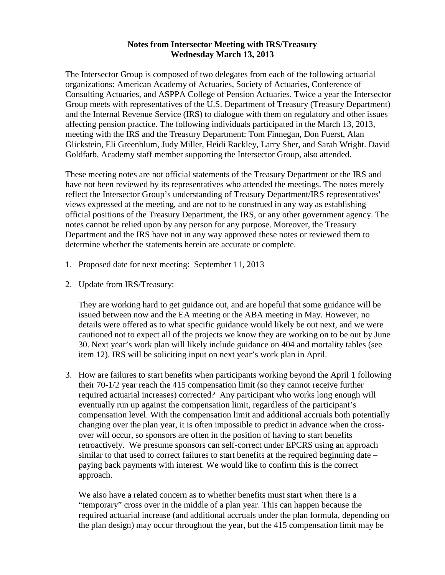## **Notes from Intersector Meeting with IRS/Treasury Wednesday March 13, 2013**

The Intersector Group is composed of two delegates from each of the following actuarial organizations: American Academy of Actuaries, Society of Actuaries, Conference of Consulting Actuaries, and ASPPA College of Pension Actuaries. Twice a year the Intersector Group meets with representatives of the U.S. Department of Treasury (Treasury Department) and the Internal Revenue Service (IRS) to dialogue with them on regulatory and other issues affecting pension practice. The following individuals participated in the March 13, 2013, meeting with the IRS and the Treasury Department: Tom Finnegan, Don Fuerst, Alan Glickstein, Eli Greenblum, Judy Miller, Heidi Rackley, Larry Sher, and Sarah Wright. David Goldfarb, Academy staff member supporting the Intersector Group, also attended.

These meeting notes are not official statements of the Treasury Department or the IRS and have not been reviewed by its representatives who attended the meetings. The notes merely reflect the Intersector Group's understanding of Treasury Department/IRS representatives' views expressed at the meeting, and are not to be construed in any way as establishing official positions of the Treasury Department, the IRS, or any other government agency. The notes cannot be relied upon by any person for any purpose. Moreover, the Treasury Department and the IRS have not in any way approved these notes or reviewed them to determine whether the statements herein are accurate or complete.

- 1. Proposed date for next meeting: September 11, 2013
- 2. Update from IRS/Treasury:

They are working hard to get guidance out, and are hopeful that some guidance will be issued between now and the EA meeting or the ABA meeting in May. However, no details were offered as to what specific guidance would likely be out next, and we were cautioned not to expect all of the projects we know they are working on to be out by June 30. Next year's work plan will likely include guidance on 404 and mortality tables (see item 12). IRS will be soliciting input on next year's work plan in April.

3. How are failures to start benefits when participants working beyond the April 1 following their 70-1/2 year reach the 415 compensation limit (so they cannot receive further required actuarial increases) corrected? Any participant who works long enough will eventually run up against the compensation limit, regardless of the participant's compensation level. With the compensation limit and additional accruals both potentially changing over the plan year, it is often impossible to predict in advance when the crossover will occur, so sponsors are often in the position of having to start benefits retroactively. We presume sponsors can self-correct under EPCRS using an approach similar to that used to correct failures to start benefits at the required beginning date – paying back payments with interest. We would like to confirm this is the correct approach.

We also have a related concern as to whether benefits must start when there is a "temporary" cross over in the middle of a plan year. This can happen because the required actuarial increase (and additional accruals under the plan formula, depending on the plan design) may occur throughout the year, but the 415 compensation limit may be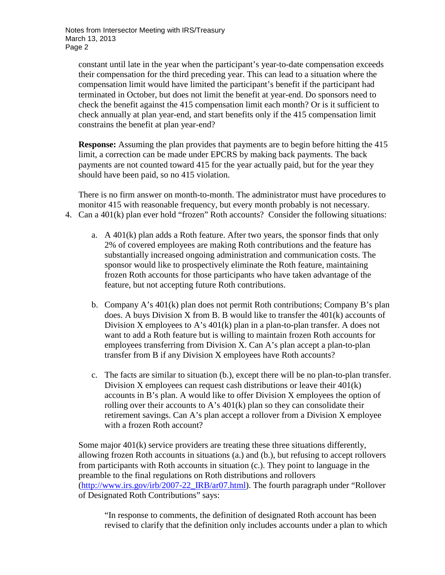constant until late in the year when the participant's year-to-date compensation exceeds their compensation for the third preceding year. This can lead to a situation where the compensation limit would have limited the participant's benefit if the participant had terminated in October, but does not limit the benefit at year-end. Do sponsors need to check the benefit against the 415 compensation limit each month? Or is it sufficient to check annually at plan year-end, and start benefits only if the 415 compensation limit constrains the benefit at plan year-end?

**Response:** Assuming the plan provides that payments are to begin before hitting the 415 limit, a correction can be made under EPCRS by making back payments. The back payments are not counted toward 415 for the year actually paid, but for the year they should have been paid, so no 415 violation.

There is no firm answer on month-to-month. The administrator must have procedures to monitor 415 with reasonable frequency, but every month probably is not necessary. 4. Can a 401(k) plan ever hold "frozen" Roth accounts? Consider the following situations:

- a. A 401(k) plan adds a Roth feature. After two years, the sponsor finds that only 2% of covered employees are making Roth contributions and the feature has substantially increased ongoing administration and communication costs. The sponsor would like to prospectively eliminate the Roth feature, maintaining frozen Roth accounts for those participants who have taken advantage of the feature, but not accepting future Roth contributions.
- b. Company A's 401(k) plan does not permit Roth contributions; Company B's plan does. A buys Division X from B. B would like to transfer the 401(k) accounts of Division X employees to A's 401(k) plan in a plan-to-plan transfer. A does not want to add a Roth feature but is willing to maintain frozen Roth accounts for employees transferring from Division X. Can A's plan accept a plan-to-plan transfer from B if any Division X employees have Roth accounts?
- c. The facts are similar to situation (b.), except there will be no plan-to-plan transfer. Division X employees can request cash distributions or leave their 401(k) accounts in B's plan. A would like to offer Division X employees the option of rolling over their accounts to A's  $401(k)$  plan so they can consolidate their retirement savings. Can A's plan accept a rollover from a Division X employee with a frozen Roth account?

Some major 401(k) service providers are treating these three situations differently, allowing frozen Roth accounts in situations (a.) and (b.), but refusing to accept rollovers from participants with Roth accounts in situation (c.). They point to language in the preamble to the final regulations on Roth distributions and rollovers [\(http://www.irs.gov/irb/2007-22\\_IRB/ar07.html\)](http://www.irs.gov/irb/2007-22_IRB/ar07.html). The fourth paragraph under "Rollover of Designated Roth Contributions" says:

"In response to comments, the definition of designated Roth account has been revised to clarify that the definition only includes accounts under a plan to which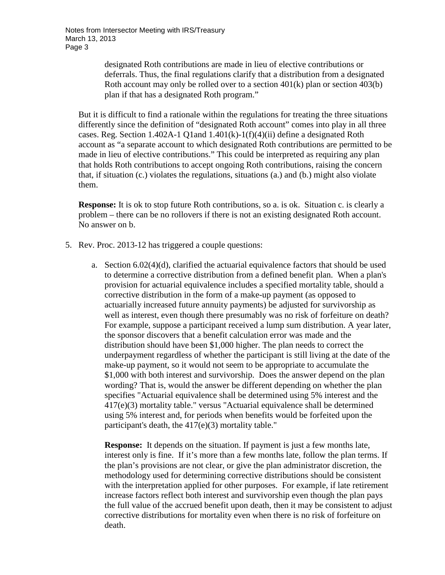Notes from Intersector Meeting with IRS/Treasury March 13, 2013 Page 3

> designated Roth contributions are made in lieu of elective contributions or deferrals. Thus, the final regulations clarify that a distribution from a designated Roth account may only be rolled over to a section 401(k) plan or section 403(b) plan if that has a designated Roth program."

But it is difficult to find a rationale within the regulations for treating the three situations differently since the definition of "designated Roth account" comes into play in all three cases. Reg. Section 1.402A-1 Q1and  $1.401(k)$ -1(f)(4)(ii) define a designated Roth account as "a separate account to which designated Roth contributions are permitted to be made in lieu of elective contributions." This could be interpreted as requiring any plan that holds Roth contributions to accept ongoing Roth contributions, raising the concern that, if situation (c.) violates the regulations, situations (a.) and (b.) might also violate them.

**Response:** It is ok to stop future Roth contributions, so a. is ok. Situation c. is clearly a problem – there can be no rollovers if there is not an existing designated Roth account. No answer on b.

- 5. Rev. Proc. 2013-12 has triggered a couple questions:
	- a. Section  $6.02(4)(d)$ , clarified the actuarial equivalence factors that should be used to determine a corrective distribution from a defined benefit plan. When a plan's provision for actuarial equivalence includes a specified mortality table, should a corrective distribution in the form of a make-up payment (as opposed to actuarially increased future annuity payments) be adjusted for survivorship as well as interest, even though there presumably was no risk of forfeiture on death? For example, suppose a participant received a lump sum distribution. A year later, the sponsor discovers that a benefit calculation error was made and the distribution should have been \$1,000 higher. The plan needs to correct the underpayment regardless of whether the participant is still living at the date of the make-up payment, so it would not seem to be appropriate to accumulate the \$1,000 with both interest and survivorship. Does the answer depend on the plan wording? That is, would the answer be different depending on whether the plan specifies "Actuarial equivalence shall be determined using 5% interest and the 417(e)(3) mortality table." versus "Actuarial equivalence shall be determined using 5% interest and, for periods when benefits would be forfeited upon the participant's death, the 417(e)(3) mortality table."

**Response:** It depends on the situation. If payment is just a few months late, interest only is fine. If it's more than a few months late, follow the plan terms. If the plan's provisions are not clear, or give the plan administrator discretion, the methodology used for determining corrective distributions should be consistent with the interpretation applied for other purposes. For example, if late retirement increase factors reflect both interest and survivorship even though the plan pays the full value of the accrued benefit upon death, then it may be consistent to adjust corrective distributions for mortality even when there is no risk of forfeiture on death.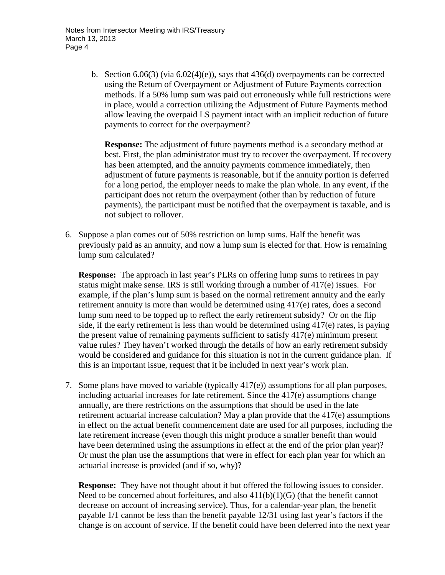b. Section  $6.06(3)$  (via  $6.02(4)(e)$ ), says that  $436(d)$  overpayments can be corrected using the Return of Overpayment or Adjustment of Future Payments correction methods. If a 50% lump sum was paid out erroneously while full restrictions were in place, would a correction utilizing the Adjustment of Future Payments method allow leaving the overpaid LS payment intact with an implicit reduction of future payments to correct for the overpayment?

**Response:** The adjustment of future payments method is a secondary method at best. First, the plan administrator must try to recover the overpayment. If recovery has been attempted, and the annuity payments commence immediately, then adjustment of future payments is reasonable, but if the annuity portion is deferred for a long period, the employer needs to make the plan whole. In any event, if the participant does not return the overpayment (other than by reduction of future payments), the participant must be notified that the overpayment is taxable, and is not subject to rollover.

6. Suppose a plan comes out of 50% restriction on lump sums. Half the benefit was previously paid as an annuity, and now a lump sum is elected for that. How is remaining lump sum calculated?

**Response:** The approach in last year's PLRs on offering lump sums to retirees in pay status might make sense. IRS is still working through a number of 417(e) issues.For example, if the plan's lump sum is based on the normal retirement annuity and the early retirement annuity is more than would be determined using 417(e) rates, does a second lump sum need to be topped up to reflect the early retirement subsidy? Or on the flip side, if the early retirement is less than would be determined using 417(e) rates, is paying the present value of remaining payments sufficient to satisfy 417(e) minimum present value rules? They haven't worked through the details of how an early retirement subsidy would be considered and guidance for this situation is not in the current guidance plan. If this is an important issue, request that it be included in next year's work plan.

7. Some plans have moved to variable (typically 417(e)) assumptions for all plan purposes, including actuarial increases for late retirement. Since the 417(e) assumptions change annually, are there restrictions on the assumptions that should be used in the late retirement actuarial increase calculation? May a plan provide that the 417(e) assumptions in effect on the actual benefit commencement date are used for all purposes, including the late retirement increase (even though this might produce a smaller benefit than would have been determined using the assumptions in effect at the end of the prior plan year)? Or must the plan use the assumptions that were in effect for each plan year for which an actuarial increase is provided (and if so, why)?

**Response:** They have not thought about it but offered the following issues to consider. Need to be concerned about forfeitures, and also  $411(b)(1)(G)$  (that the benefit cannot decrease on account of increasing service). Thus, for a calendar-year plan, the benefit payable 1/1 cannot be less than the benefit payable 12/31 using last year's factors if the change is on account of service. If the benefit could have been deferred into the next year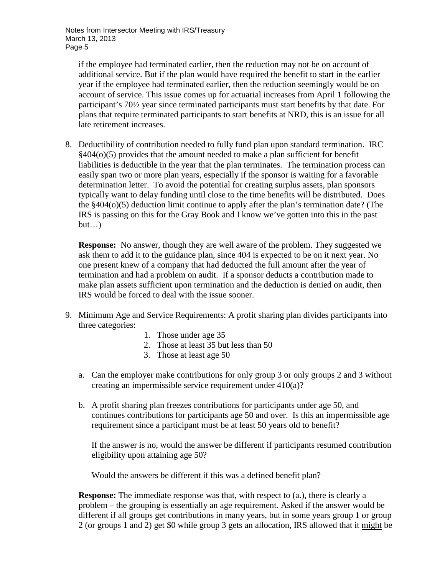Notes from Intersector Meeting with IRS/Treasury March 13, 2013 Page 5

if the employee had terminated earlier, then the reduction may not be on account of additional service. But if the plan would have required the benefit to start in the earlier year if the employee had terminated earlier, then the reduction seemingly would be on account of service. This issue comes up for actuarial increases from April 1 following the participant's 70½ year since terminated participants must start benefits by that date. For plans that require terminated participants to start benefits at NRD, this is an issue for all late retirement increases.

8. Deductibility of contribution needed to fully fund plan upon standard termination. IRC §404(o)(5) provides that the amount needed to make a plan sufficient for benefit liabilities is deductible in the year that the plan terminates. The termination process can easily span two or more plan years, especially if the sponsor is waiting for a favorable determination letter. To avoid the potential for creating surplus assets, plan sponsors typically want to delay funding until close to the time benefits will be distributed. Does the §404(o)(5) deduction limit continue to apply after the plan's termination date? (The IRS is passing on this for the Gray Book and I know we've gotten into this in the past  $but...$ 

**Response:** No answer, though they are well aware of the problem. They suggested we ask them to add it to the guidance plan, since 404 is expected to be on it next year. No one present knew of a company that had deducted the full amount after the year of termination and had a problem on audit. If a sponsor deducts a contribution made to make plan assets sufficient upon termination and the deduction is denied on audit, then IRS would be forced to deal with the issue sooner.

- 9. Minimum Age and Service Requirements: A profit sharing plan divides participants into three categories:
	- 1. Those under age 35
	- 2. Those at least 35 but less than 50
	- 3. Those at least age 50
	- a. Can the employer make contributions for only group 3 or only groups 2 and 3 without creating an impermissible service requirement under 410(a)?
	- b. A profit sharing plan freezes contributions for participants under age 50, and continues contributions for participants age 50 and over. Is this an impermissible age requirement since a participant must be at least 50 years old to benefit?

If the answer is no, would the answer be different if participants resumed contribution eligibility upon attaining age 50?

Would the answers be different if this was a defined benefit plan?

**Response:** The immediate response was that, with respect to (a.), there is clearly a problem – the grouping is essentially an age requirement. Asked if the answer would be different if all groups get contributions in many years, but in some years group 1 or group 2 (or groups 1 and 2) get \$0 while group 3 gets an allocation, IRS allowed that it might be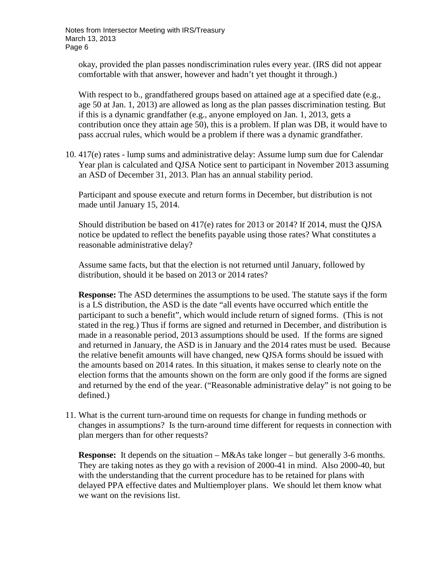okay, provided the plan passes nondiscrimination rules every year. (IRS did not appear comfortable with that answer, however and hadn't yet thought it through.)

With respect to b., grandfathered groups based on attained age at a specified date (e.g., age 50 at Jan. 1, 2013) are allowed as long as the plan passes discrimination testing. But if this is a dynamic grandfather (e.g., anyone employed on Jan. 1, 2013, gets a contribution once they attain age 50), this is a problem. If plan was DB, it would have to pass accrual rules, which would be a problem if there was a dynamic grandfather.

10. 417(e) rates - lump sums and administrative delay: Assume lump sum due for Calendar Year plan is calculated and QJSA Notice sent to participant in November 2013 assuming an ASD of December 31, 2013. Plan has an annual stability period.

Participant and spouse execute and return forms in December, but distribution is not made until January 15, 2014.

Should distribution be based on 417(e) rates for 2013 or 2014? If 2014, must the QJSA notice be updated to reflect the benefits payable using those rates? What constitutes a reasonable administrative delay?

Assume same facts, but that the election is not returned until January, followed by distribution, should it be based on 2013 or 2014 rates?

**Response:** The ASD determines the assumptions to be used. The statute says if the form is a LS distribution, the ASD is the date "all events have occurred which entitle the participant to such a benefit", which would include return of signed forms. (This is not stated in the reg.) Thus if forms are signed and returned in December, and distribution is made in a reasonable period, 2013 assumptions should be used. If the forms are signed and returned in January, the ASD is in January and the 2014 rates must be used. Because the relative benefit amounts will have changed, new QJSA forms should be issued with the amounts based on 2014 rates. In this situation, it makes sense to clearly note on the election forms that the amounts shown on the form are only good if the forms are signed and returned by the end of the year. ("Reasonable administrative delay" is not going to be defined.)

11. What is the current turn-around time on requests for change in funding methods or changes in assumptions? Is the turn-around time different for requests in connection with plan mergers than for other requests?

**Response:** It depends on the situation – M&As take longer – but generally 3-6 months. They are taking notes as they go with a revision of 2000-41 in mind. Also 2000-40, but with the understanding that the current procedure has to be retained for plans with delayed PPA effective dates and Multiemployer plans. We should let them know what we want on the revisions list.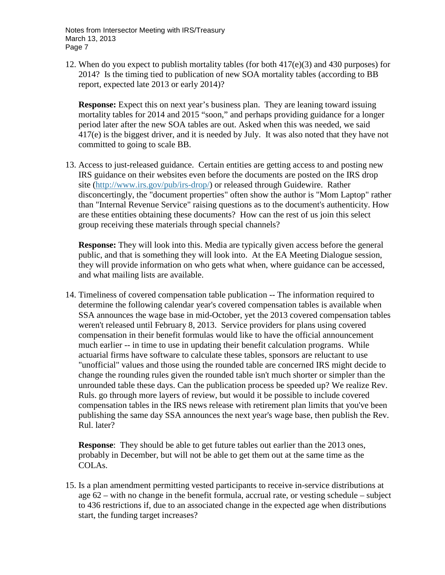12. When do you expect to publish mortality tables (for both  $417(e)(3)$ ) and  $430$  purposes) for 2014? Is the timing tied to publication of new SOA mortality tables (according to BB report, expected late 2013 or early 2014)?

**Response:** Expect this on next year's business plan. They are leaning toward issuing mortality tables for 2014 and 2015 "soon," and perhaps providing guidance for a longer period later after the new SOA tables are out. Asked when this was needed, we said 417(e) is the biggest driver, and it is needed by July. It was also noted that they have not committed to going to scale BB.

13. Access to just-released guidance. Certain entities are getting access to and posting new IRS guidance on their websites even before the documents are posted on the IRS drop site [\(http://www.irs.gov/pub/irs-drop/\)](http://www.irs.gov/pub/irs-drop/) or released through Guidewire. Rather disconcertingly, the "document properties" often show the author is "Mom Laptop" rather than "Internal Revenue Service" raising questions as to the document's authenticity. How are these entities obtaining these documents? How can the rest of us join this select group receiving these materials through special channels?

**Response:** They will look into this. Media are typically given access before the general public, and that is something they will look into. At the EA Meeting Dialogue session, they will provide information on who gets what when, where guidance can be accessed, and what mailing lists are available.

14. Timeliness of covered compensation table publication -- The information required to determine the following calendar year's covered compensation tables is available when SSA announces the wage base in mid-October, yet the 2013 covered compensation tables weren't released until February 8, 2013. Service providers for plans using covered compensation in their benefit formulas would like to have the official announcement much earlier -- in time to use in updating their benefit calculation programs. While actuarial firms have software to calculate these tables, sponsors are reluctant to use "unofficial" values and those using the rounded table are concerned IRS might decide to change the rounding rules given the rounded table isn't much shorter or simpler than the unrounded table these days. Can the publication process be speeded up? We realize Rev. Ruls. go through more layers of review, but would it be possible to include covered compensation tables in the IRS news release with retirement plan limits that you've been publishing the same day SSA announces the next year's wage base, then publish the Rev. Rul. later?

**Response**: They should be able to get future tables out earlier than the 2013 ones, probably in December, but will not be able to get them out at the same time as the COLAs.

15. Is a plan amendment permitting vested participants to receive in-service distributions at age 62 – with no change in the benefit formula, accrual rate, or vesting schedule – subject to 436 restrictions if, due to an associated change in the expected age when distributions start, the funding target increases?